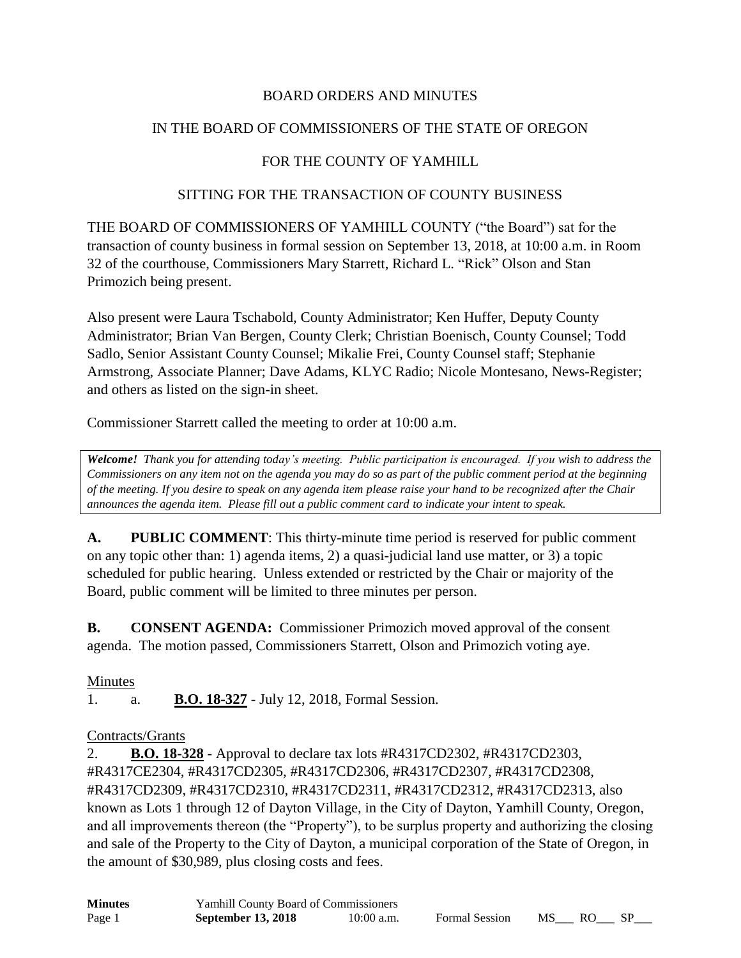## BOARD ORDERS AND MINUTES

## IN THE BOARD OF COMMISSIONERS OF THE STATE OF OREGON

## FOR THE COUNTY OF YAMHILL

### SITTING FOR THE TRANSACTION OF COUNTY BUSINESS

THE BOARD OF COMMISSIONERS OF YAMHILL COUNTY ("the Board") sat for the transaction of county business in formal session on September 13, 2018, at 10:00 a.m. in Room 32 of the courthouse, Commissioners Mary Starrett, Richard L. "Rick" Olson and Stan Primozich being present.

Also present were Laura Tschabold, County Administrator; Ken Huffer, Deputy County Administrator; Brian Van Bergen, County Clerk; Christian Boenisch, County Counsel; Todd Sadlo, Senior Assistant County Counsel; Mikalie Frei, County Counsel staff; Stephanie Armstrong, Associate Planner; Dave Adams, KLYC Radio; Nicole Montesano, News-Register; and others as listed on the sign-in sheet.

Commissioner Starrett called the meeting to order at 10:00 a.m.

*Welcome! Thank you for attending today's meeting. Public participation is encouraged. If you wish to address the Commissioners on any item not on the agenda you may do so as part of the public comment period at the beginning of the meeting. If you desire to speak on any agenda item please raise your hand to be recognized after the Chair announces the agenda item. Please fill out a public comment card to indicate your intent to speak.*

**A. PUBLIC COMMENT**: This thirty-minute time period is reserved for public comment on any topic other than: 1) agenda items, 2) a quasi-judicial land use matter, or 3) a topic scheduled for public hearing. Unless extended or restricted by the Chair or majority of the Board, public comment will be limited to three minutes per person.

**B. CONSENT AGENDA:** Commissioner Primozich moved approval of the consent agenda. The motion passed, Commissioners Starrett, Olson and Primozich voting aye.

### Minutes

1. a. **B.O. 18-327** - July 12, 2018, Formal Session.

### Contracts/Grants

2. **B.O. 18-328** - Approval to declare tax lots #R4317CD2302, #R4317CD2303, #R4317CE2304, #R4317CD2305, #R4317CD2306, #R4317CD2307, #R4317CD2308, #R4317CD2309, #R4317CD2310, #R4317CD2311, #R4317CD2312, #R4317CD2313, also known as Lots 1 through 12 of Dayton Village, in the City of Dayton, Yamhill County, Oregon, and all improvements thereon (the "Property"), to be surplus property and authorizing the closing and sale of the Property to the City of Dayton, a municipal corporation of the State of Oregon, in the amount of \$30,989, plus closing costs and fees.

| <b>Minutes</b> | <b>Yamhill County Board of Commissioners</b> |              |                       |     |      |  |
|----------------|----------------------------------------------|--------------|-----------------------|-----|------|--|
| Page 1         | <b>September 13, 2018</b>                    | $10:00$ a.m. | <b>Formal Session</b> | MS. | - RO |  |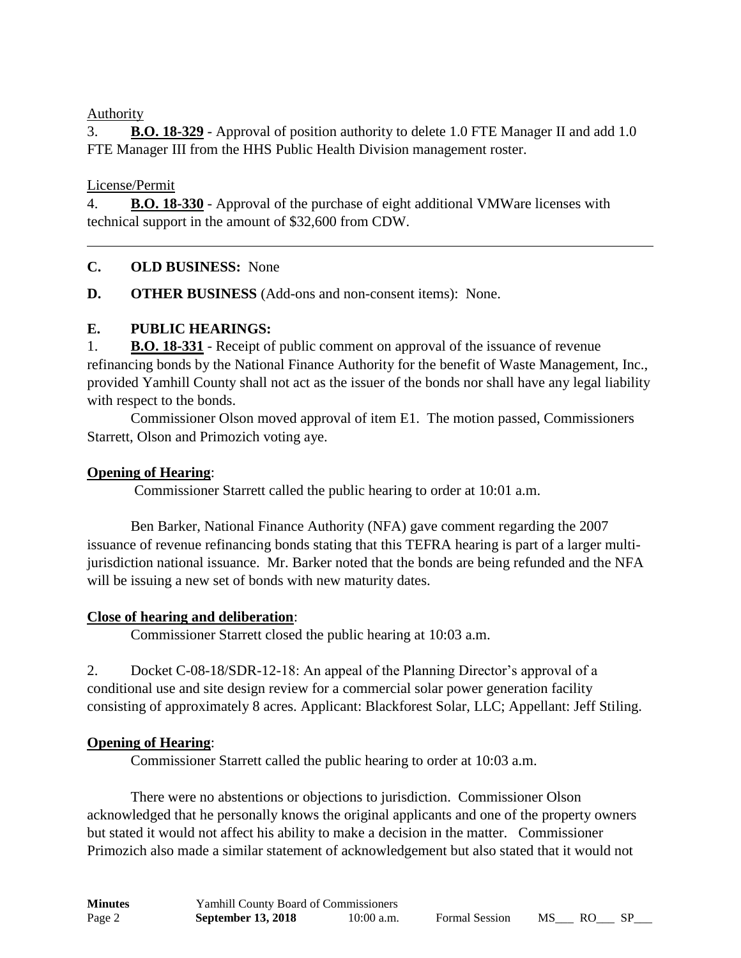### Authority

3. **B.O. 18-329** - Approval of position authority to delete 1.0 FTE Manager II and add 1.0 FTE Manager III from the HHS Public Health Division management roster.

### License/Permit

4. **B.O. 18-330** - Approval of the purchase of eight additional VMWare licenses with technical support in the amount of \$32,600 from CDW.

### **C. OLD BUSINESS:** None

**D. OTHER BUSINESS** (Add-ons and non-consent items): None.

## **E. PUBLIC HEARINGS:**

1. **B.O. 18-331** - Receipt of public comment on approval of the issuance of revenue refinancing bonds by the National Finance Authority for the benefit of Waste Management, Inc., provided Yamhill County shall not act as the issuer of the bonds nor shall have any legal liability with respect to the bonds.

Commissioner Olson moved approval of item E1. The motion passed, Commissioners Starrett, Olson and Primozich voting aye.

### **Opening of Hearing**:

Commissioner Starrett called the public hearing to order at 10:01 a.m.

Ben Barker, National Finance Authority (NFA) gave comment regarding the 2007 issuance of revenue refinancing bonds stating that this TEFRA hearing is part of a larger multijurisdiction national issuance. Mr. Barker noted that the bonds are being refunded and the NFA will be issuing a new set of bonds with new maturity dates.

### **Close of hearing and deliberation**:

Commissioner Starrett closed the public hearing at 10:03 a.m.

2. Docket C-08-18/SDR-12-18: An appeal of the Planning Director's approval of a conditional use and site design review for a commercial solar power generation facility consisting of approximately 8 acres. Applicant: Blackforest Solar, LLC; Appellant: Jeff Stiling.

## **Opening of Hearing**:

Commissioner Starrett called the public hearing to order at 10:03 a.m.

There were no abstentions or objections to jurisdiction. Commissioner Olson acknowledged that he personally knows the original applicants and one of the property owners but stated it would not affect his ability to make a decision in the matter. Commissioner Primozich also made a similar statement of acknowledgement but also stated that it would not

| <b>Minutes</b> | <b>Yamhill County Board of Commissioners</b> |              |                       |    |     |  |
|----------------|----------------------------------------------|--------------|-----------------------|----|-----|--|
| Page 2         | <b>September 13, 2018</b>                    | $10:00$ a.m. | <b>Formal Session</b> | MS | RO. |  |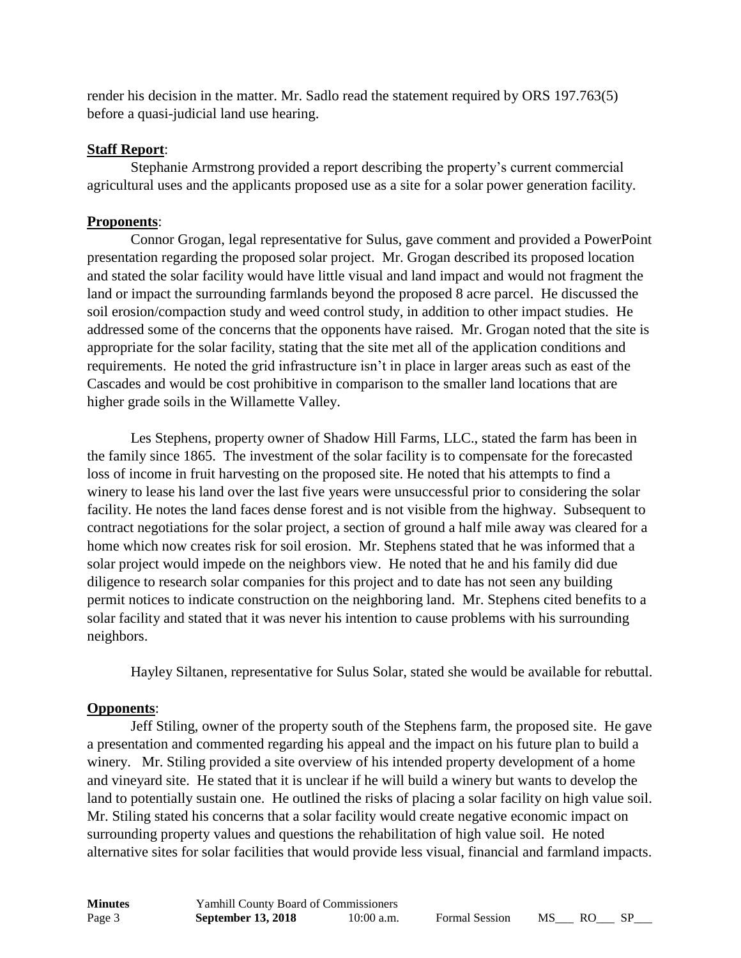render his decision in the matter. Mr. Sadlo read the statement required by ORS 197.763(5) before a quasi-judicial land use hearing.

### **Staff Report**:

Stephanie Armstrong provided a report describing the property's current commercial agricultural uses and the applicants proposed use as a site for a solar power generation facility.

## **Proponents**:

Connor Grogan, legal representative for Sulus, gave comment and provided a PowerPoint presentation regarding the proposed solar project. Mr. Grogan described its proposed location and stated the solar facility would have little visual and land impact and would not fragment the land or impact the surrounding farmlands beyond the proposed 8 acre parcel. He discussed the soil erosion/compaction study and weed control study, in addition to other impact studies. He addressed some of the concerns that the opponents have raised. Mr. Grogan noted that the site is appropriate for the solar facility, stating that the site met all of the application conditions and requirements. He noted the grid infrastructure isn't in place in larger areas such as east of the Cascades and would be cost prohibitive in comparison to the smaller land locations that are higher grade soils in the Willamette Valley.

Les Stephens, property owner of Shadow Hill Farms, LLC., stated the farm has been in the family since 1865. The investment of the solar facility is to compensate for the forecasted loss of income in fruit harvesting on the proposed site. He noted that his attempts to find a winery to lease his land over the last five years were unsuccessful prior to considering the solar facility. He notes the land faces dense forest and is not visible from the highway. Subsequent to contract negotiations for the solar project, a section of ground a half mile away was cleared for a home which now creates risk for soil erosion. Mr. Stephens stated that he was informed that a solar project would impede on the neighbors view. He noted that he and his family did due diligence to research solar companies for this project and to date has not seen any building permit notices to indicate construction on the neighboring land. Mr. Stephens cited benefits to a solar facility and stated that it was never his intention to cause problems with his surrounding neighbors.

Hayley Siltanen, representative for Sulus Solar, stated she would be available for rebuttal.

## **Opponents**:

Jeff Stiling, owner of the property south of the Stephens farm, the proposed site. He gave a presentation and commented regarding his appeal and the impact on his future plan to build a winery. Mr. Stiling provided a site overview of his intended property development of a home and vineyard site. He stated that it is unclear if he will build a winery but wants to develop the land to potentially sustain one. He outlined the risks of placing a solar facility on high value soil. Mr. Stiling stated his concerns that a solar facility would create negative economic impact on surrounding property values and questions the rehabilitation of high value soil. He noted alternative sites for solar facilities that would provide less visual, financial and farmland impacts.

| <b>Minutes</b> | Yamhill County Board of Commissioners |              |
|----------------|---------------------------------------|--------------|
| Page 3         | <b>September 13, 2018</b>             | $10:00$ a.m. |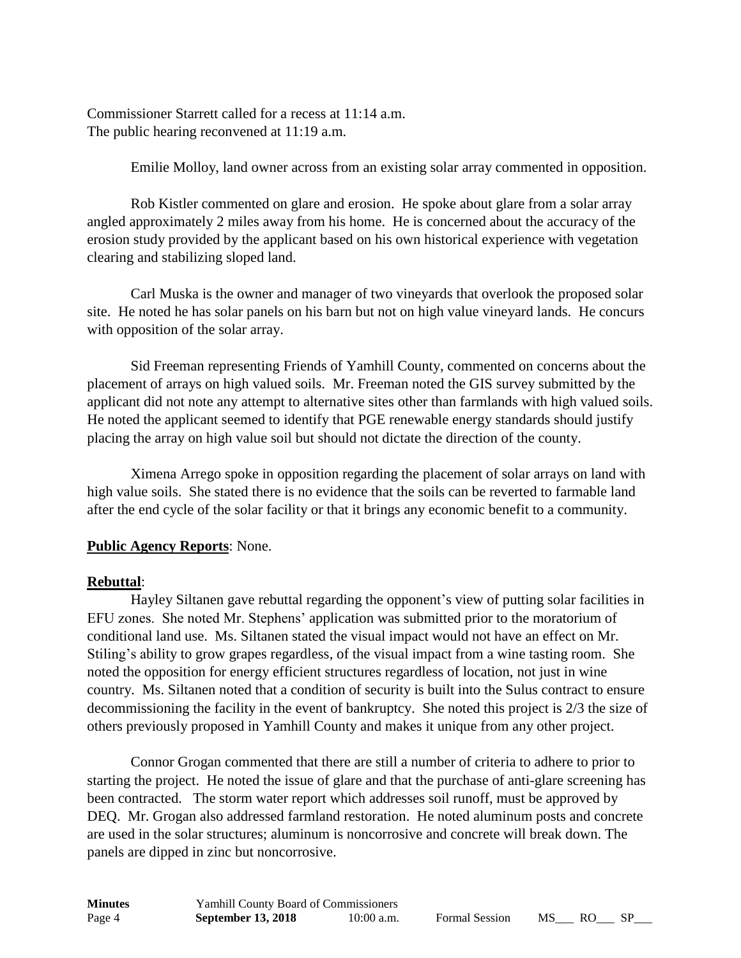Commissioner Starrett called for a recess at 11:14 a.m. The public hearing reconvened at 11:19 a.m.

Emilie Molloy, land owner across from an existing solar array commented in opposition.

Rob Kistler commented on glare and erosion. He spoke about glare from a solar array angled approximately 2 miles away from his home. He is concerned about the accuracy of the erosion study provided by the applicant based on his own historical experience with vegetation clearing and stabilizing sloped land.

Carl Muska is the owner and manager of two vineyards that overlook the proposed solar site. He noted he has solar panels on his barn but not on high value vineyard lands. He concurs with opposition of the solar array.

Sid Freeman representing Friends of Yamhill County, commented on concerns about the placement of arrays on high valued soils. Mr. Freeman noted the GIS survey submitted by the applicant did not note any attempt to alternative sites other than farmlands with high valued soils. He noted the applicant seemed to identify that PGE renewable energy standards should justify placing the array on high value soil but should not dictate the direction of the county.

Ximena Arrego spoke in opposition regarding the placement of solar arrays on land with high value soils. She stated there is no evidence that the soils can be reverted to farmable land after the end cycle of the solar facility or that it brings any economic benefit to a community.

### **Public Agency Reports**: None.

### **Rebuttal**:

Hayley Siltanen gave rebuttal regarding the opponent's view of putting solar facilities in EFU zones. She noted Mr. Stephens' application was submitted prior to the moratorium of conditional land use. Ms. Siltanen stated the visual impact would not have an effect on Mr. Stiling's ability to grow grapes regardless, of the visual impact from a wine tasting room. She noted the opposition for energy efficient structures regardless of location, not just in wine country. Ms. Siltanen noted that a condition of security is built into the Sulus contract to ensure decommissioning the facility in the event of bankruptcy. She noted this project is 2/3 the size of others previously proposed in Yamhill County and makes it unique from any other project.

Connor Grogan commented that there are still a number of criteria to adhere to prior to starting the project. He noted the issue of glare and that the purchase of anti-glare screening has been contracted. The storm water report which addresses soil runoff, must be approved by DEQ. Mr. Grogan also addressed farmland restoration. He noted aluminum posts and concrete are used in the solar structures; aluminum is noncorrosive and concrete will break down. The panels are dipped in zinc but noncorrosive.

| <b>Minutes</b> | Yamhill County Board of Commissioners |              |
|----------------|---------------------------------------|--------------|
| Page 4         | <b>September 13, 2018</b>             | $10:00$ a.m. |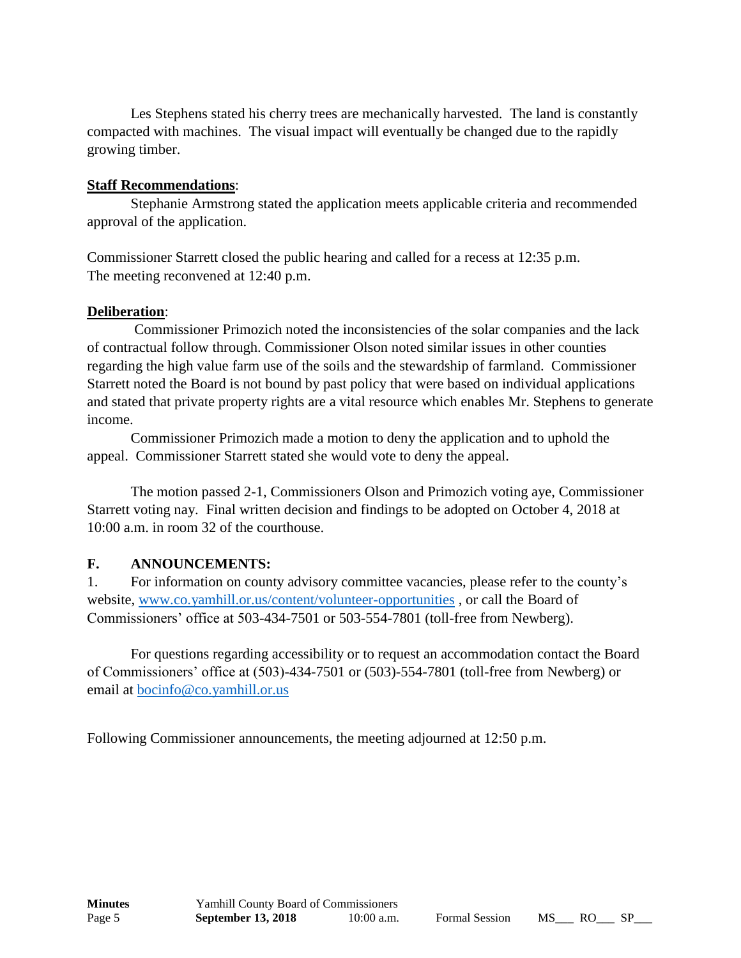Les Stephens stated his cherry trees are mechanically harvested. The land is constantly compacted with machines. The visual impact will eventually be changed due to the rapidly growing timber.

### **Staff Recommendations**:

Stephanie Armstrong stated the application meets applicable criteria and recommended approval of the application.

Commissioner Starrett closed the public hearing and called for a recess at 12:35 p.m. The meeting reconvened at 12:40 p.m.

### **Deliberation**:

Commissioner Primozich noted the inconsistencies of the solar companies and the lack of contractual follow through. Commissioner Olson noted similar issues in other counties regarding the high value farm use of the soils and the stewardship of farmland. Commissioner Starrett noted the Board is not bound by past policy that were based on individual applications and stated that private property rights are a vital resource which enables Mr. Stephens to generate income.

Commissioner Primozich made a motion to deny the application and to uphold the appeal. Commissioner Starrett stated she would vote to deny the appeal.

The motion passed 2-1, Commissioners Olson and Primozich voting aye, Commissioner Starrett voting nay. Final written decision and findings to be adopted on October 4, 2018 at 10:00 a.m. in room 32 of the courthouse.

### **F. ANNOUNCEMENTS:**

1. For information on county advisory committee vacancies, please refer to the county's website, [www.co.yamhill.or.us/content/volunteer-opportunities](http://www.co.yamhill.or.us/content/volunteer-opportunities) , or call the Board of Commissioners' office at 503-434-7501 or 503-554-7801 (toll-free from Newberg).

For questions regarding accessibility or to request an accommodation contact the Board of Commissioners' office at (503)-434-7501 or (503)-554-7801 (toll-free from Newberg) or email at [bocinfo@co.yamhill.or.us](mailto:bocinfo@co.yamhill.or.us)

Following Commissioner announcements, the meeting adjourned at 12:50 p.m.